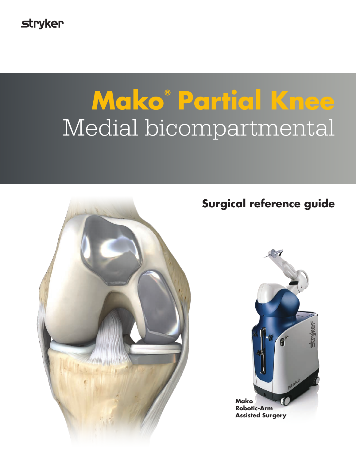**stryker** 

# **Mako® Partial Knee** Medial bicompartmental



# **Surgical reference guide**

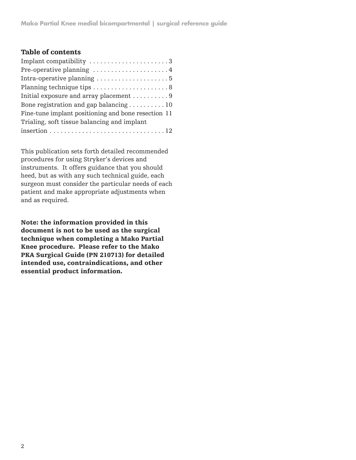#### Table of contents

| Implant compatibility 3                                                |
|------------------------------------------------------------------------|
| Pre-operative planning $\dots\dots\dots\dots\dots\dots\dots4$          |
| Intra-operative planning $\ldots \ldots \ldots \ldots \ldots \ldots 5$ |
|                                                                        |
| Initial exposure and array placement  9                                |
| Bone registration and gap balancing  10                                |
| Fine-tune implant positioning and bone resection 11                    |
| Trialing, soft tissue balancing and implant                            |
|                                                                        |

This publication sets forth detailed recommended procedures for using Stryker's devices and instruments. It offers guidance that you should heed, but as with any such technical guide, each surgeon must consider the particular needs of each patient and make appropriate adjustments when and as required.

Note: the information provided in this document is not to be used as the surgical technique when completing a Mako Partial Knee procedure. Please refer to the Mako PKA Surgical Guide (PN 210713) for detailed intended use, contraindications, and other essential product information.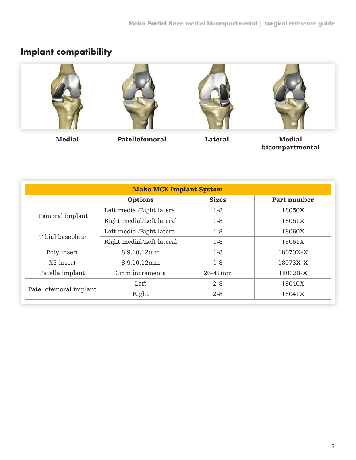## **Implant compatibility**



Medial Patellofemoral Lateral Medial

bicompartmental

| <b>Mako MCK Implant System</b> |                           |              |             |  |
|--------------------------------|---------------------------|--------------|-------------|--|
|                                | Options                   | <b>Sizes</b> | Part number |  |
| Femoral implant                | Left medial/Right lateral | $1-8$        | 18050X      |  |
|                                | Right medial/Left lateral | $1-8$        | 18051X      |  |
| Tibial baseplate               | Left medial/Right lateral | $1-8$        | 18060X      |  |
|                                | Right medial/Left lateral | $1-8$        | 18061X      |  |
| Poly insert                    | 8,9,10,12mm               | $1-8$        | 18070X-X    |  |
| X3 insert                      | 8,9,10,12mm               | $1-8$        | 18073X-X    |  |
| Patella implant                | 3mm increments            | $26-41$ mm   | 180320-X    |  |
| Patellofemoral implant         | Left                      | $2 - 8$      | 18040X      |  |
|                                | Right                     | $2 - 8$      | 18041X      |  |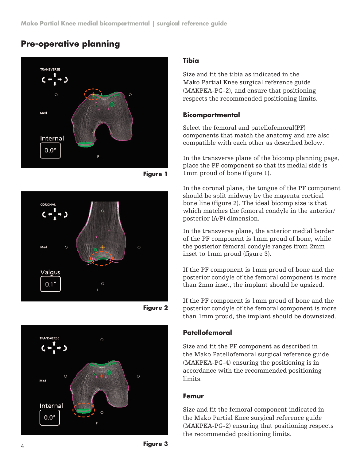## **Pre-operative planning**



**Figure 1**



**Figure 2**



#### **Tibia**

Size and fit the tibia as indicated in the Mako Partial Knee surgical reference guide (MAKPKA-PG-2), and ensure that positioning respects the recommended positioning limits.

#### **Bicompartmental**

Select the femoral and patellofemoral(PF) components that match the anatomy and are also compatible with each other as described below.

In the transverse plane of the bicomp planning page, place the PF component so that its medial side is 1mm proud of bone (figure 1).

In the coronal plane, the tongue of the PF component should be split midway by the magenta cortical bone line (figure 2). The ideal bicomp size is that which matches the femoral condyle in the anterior/ posterior (A/P) dimension.

In the transverse plane, the anterior medial border of the PF component is 1mm proud of bone, while the posterior femoral condyle ranges from 2mm inset to 1mm proud (figure 3).

If the PF component is 1mm proud of bone and the posterior condyle of the femoral component is more than 2mm inset, the implant should be upsized.

If the PF component is 1mm proud of bone and the posterior condyle of the femoral component is more than 1mm proud, the implant should be downsized.

#### **Patellofemoral**

Size and fit the PF component as described in the Mako Patellofemoral surgical reference guide (MAKPKA-PG-4) ensuring the positioning is in accordance with the recommended positioning limits.

#### **Femur**

Size and fit the femoral component indicated in the Mako Partial Knee surgical reference guide (MAKPKA-PG-2) ensuring that positioning respects the recommended positioning limits.

**Figure 3**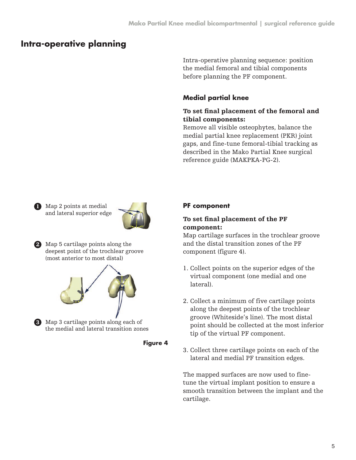## **Intra-operative planning**

Intra-operative planning sequence: position the medial femoral and tibial components before planning the PF component.

#### **Medial partial knee**

#### To set final placement of the femoral and tibial components:

Remove all visible osteophytes, balance the medial partial knee replacement (PKR) joint gaps, and fine-tune femoral-tibial tracking as described in the Mako Partial Knee surgical reference guide (MAKPKA-PG-2).

Map 2 points at medial 1 and lateral superior edge



Map 5 cartilage points along the 2 deepest point of the trochlear groove (most anterior to most distal)



Map 3 cartilage points along each of 3 the medial and lateral transition zones

**Figure 4**

#### **PF component**

#### To set final placement of the PF component:

Map cartilage surfaces in the trochlear groove and the distal transition zones of the PF component (figure 4).

- 1. Collect points on the superior edges of the virtual component (one medial and one lateral).
- 2. Collect a minimum of five cartilage points along the deepest points of the trochlear groove (Whiteside's line). The most distal point should be collected at the most inferior tip of the virtual PF component.
- 3. Collect three cartilage points on each of the lateral and medial PF transition edges.

The mapped surfaces are now used to finetune the virtual implant position to ensure a smooth transition between the implant and the cartilage.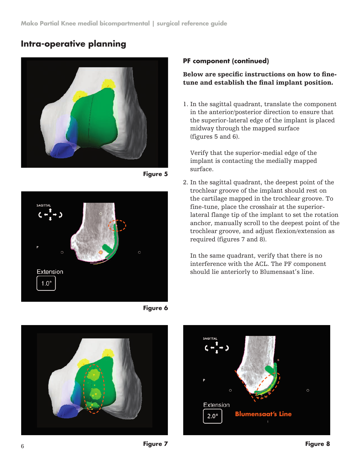## **Intra-operative planning**



**Figure 5**



**Figure 6**

#### **PF component (continued)**

#### Below are specific instructions on how to finetune and establish the final implant position.

1. In the sagittal quadrant, translate the component in the anterior/posterior direction to ensure that the superior-lateral edge of the implant is placed midway through the mapped surface (figures 5 and 6).

Verify that the superior-medial edge of the implant is contacting the medially mapped surface.

2. In the sagittal quadrant, the deepest point of the trochlear groove of the implant should rest on the cartilage mapped in the trochlear groove. To fine-tune, place the crosshair at the superiorlateral flange tip of the implant to set the rotation anchor, manually scroll to the deepest point of the trochlear groove, and adjust flexion/extension as required (figures 7 and 8).

In the same quadrant, verify that there is no interference with the ACL. The PF component should lie anteriorly to Blumensaat's line.



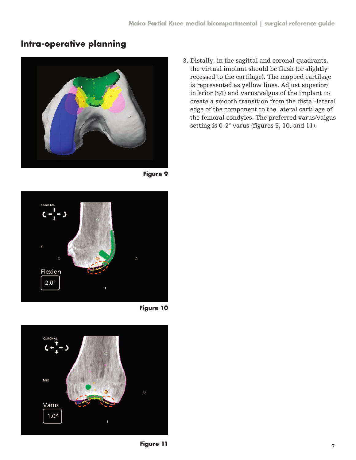## **Intra-operative planning**



**Figure 9**



**Figure 10**



3. Distally, in the sagittal and coronal quadrants, the virtual implant should be flush (or slightly recessed to the cartilage). The mapped cartilage is represented as yellow lines. Adjust superior/ inferior (S/I) and varus/valgus of the implant to create a smooth transition from the distal-lateral edge of the component to the lateral cartilage of the femoral condyles. The preferred varus/valgus setting is 0-2° varus (figures 9, 10, and 11).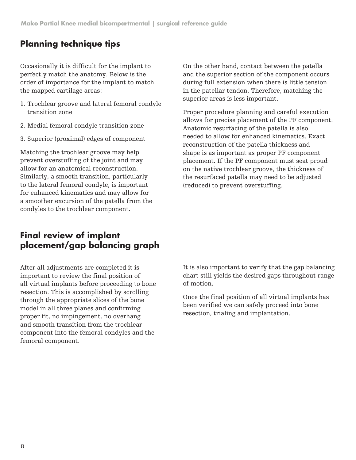## **Planning technique tips**

Occasionally it is difficult for the implant to perfectly match the anatomy. Below is the order of importance for the implant to match the mapped cartilage areas:

- 1. Trochlear groove and lateral femoral condyle transition zone
- 2. Medial femoral condyle transition zone
- 3. Superior (proximal) edges of component

Matching the trochlear groove may help prevent overstuffing of the joint and may allow for an anatomical reconstruction. Similarly, a smooth transition, particularly to the lateral femoral condyle, is important for enhanced kinematics and may allow for a smoother excursion of the patella from the condyles to the trochlear component.

On the other hand, contact between the patella and the superior section of the component occurs during full extension when there is little tension in the patellar tendon. Therefore, matching the superior areas is less important.

Proper procedure planning and careful execution allows for precise placement of the PF component. Anatomic resurfacing of the patella is also needed to allow for enhanced kinematics. Exact reconstruction of the patella thickness and shape is as important as proper PF component placement. If the PF component must seat proud on the native trochlear groove, the thickness of the resurfaced patella may need to be adjusted (reduced) to prevent overstuffing.

## **Final review of implant placement/gap balancing graph**

After all adjustments are completed it is important to review the final position of all virtual implants before proceeding to bone resection. This is accomplished by scrolling through the appropriate slices of the bone model in all three planes and confirming proper fit, no impingement, no overhang and smooth transition from the trochlear component into the femoral condyles and the femoral component.

It is also important to verify that the gap balancing chart still yields the desired gaps throughout range of motion.

Once the final position of all virtual implants has been verified we can safely proceed into bone resection, trialing and implantation.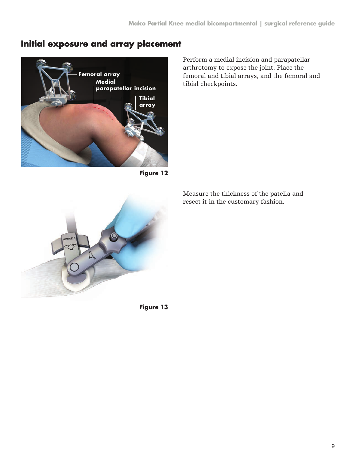## **Initial exposure and array placement**



**Figure 12**

arthrotomy to expose the joint. Place the femoral and tibial arrays, and the femoral and tibial checkpoints.

Perform a medial incision and parapatellar

Measure the thickness of the patella and resect it in the customary fashion.

**Figure 13**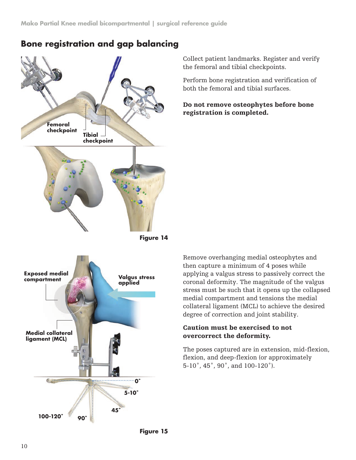

### **Bone registration and gap balancing**

Collect patient landmarks. Register and verify the femoral and tibial checkpoints.

Perform bone registration and verification of both the femoral and tibial surfaces.

Do not remove osteophytes before bone registration is completed.

Remove overhanging medial osteophytes and then capture a minimum of 4 poses while applying a valgus stress to passively correct the coronal deformity. The magnitude of the valgus stress must be such that it opens up the collapsed medial compartment and tensions the medial collateral ligament (MCL) to achieve the desired degree of correction and joint stability.

#### Caution must be exercised to not overcorrect the deformity.

The poses captured are in extension, mid-flexion, flexion, and deep-flexion (or approximately 5-10˚, 45˚, 90˚, and 100-120˚).

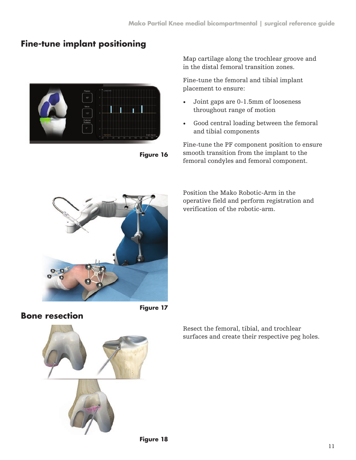## **Fine-tune implant positioning**



**Figure 16**

Map cartilage along the trochlear groove and in the distal femoral transition zones.

Fine-tune the femoral and tibial implant placement to ensure:

- Joint gaps are 0-1.5mm of looseness throughout range of motion
- Good central loading between the femoral and tibial components

Fine-tune the PF component position to ensure smooth transition from the implant to the femoral condyles and femoral component.



Position the Mako Robotic-Arm in the operative field and perform registration and verification of the robotic-arm.

**Bone resection**



Resect the femoral, tibial, and trochlear surfaces and create their respective peg holes.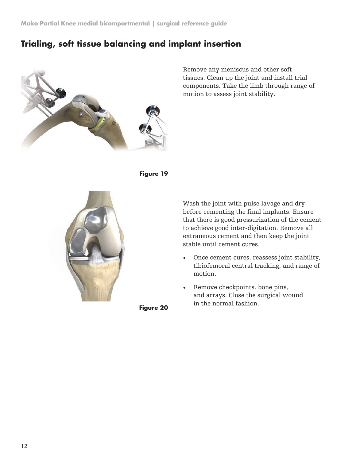## **Trialing, soft tissue balancing and implant insertion**



Remove any meniscus and other soft tissues. Clean up the joint and install trial components. Take the limb through range of motion to assess joint stability.





Wash the joint with pulse lavage and dry before cementing the final implants. Ensure that there is good pressurization of the cement to achieve good inter-digitation. Remove all extraneous cement and then keep the joint stable until cement cures.

- Once cement cures, reassess joint stability, tibiofemoral central tracking, and range of motion.
- Remove checkpoints, bone pins, and arrays. Close the surgical wound in the normal fashion.

**Figure 20**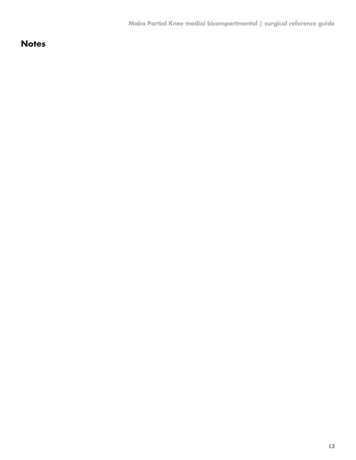## **Notes**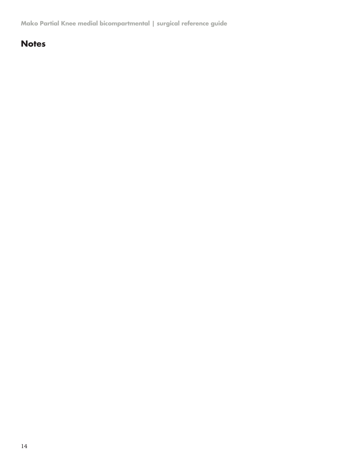**Mako Partial Knee medial bicompartmental | surgical reference guide**

## **Notes**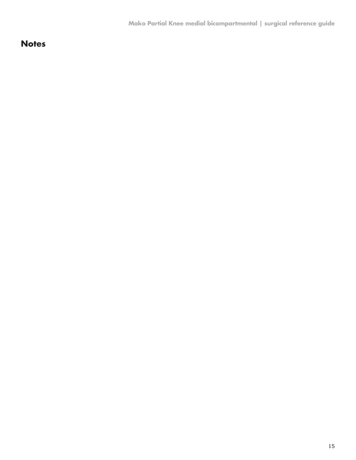## **Notes**